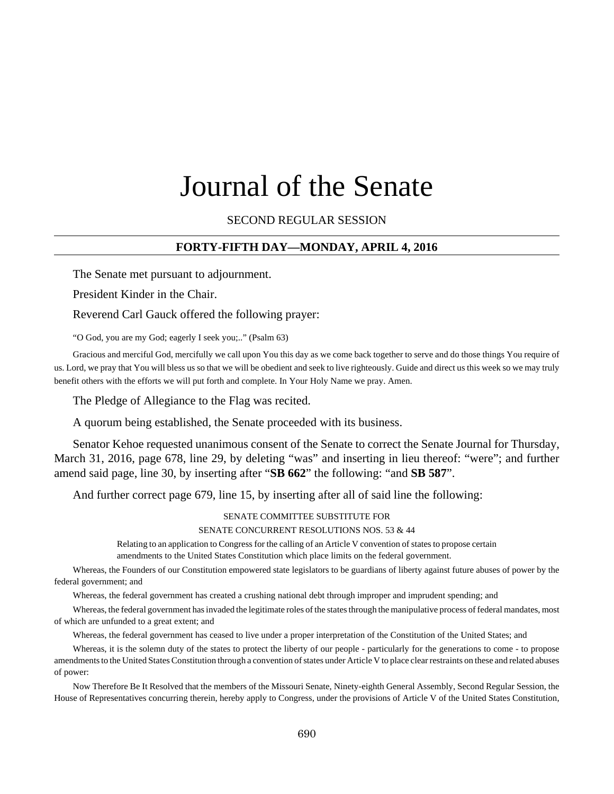# Journal of the Senate

SECOND REGULAR SESSION

### **FORTY-FIFTH DAY—MONDAY, APRIL 4, 2016**

The Senate met pursuant to adjournment.

President Kinder in the Chair.

Reverend Carl Gauck offered the following prayer:

"O God, you are my God; eagerly I seek you;.." (Psalm 63)

Gracious and merciful God, mercifully we call upon You this day as we come back together to serve and do those things You require of us. Lord, we pray that You will bless us so that we will be obedient and seek to live righteously. Guide and direct us this week so we may truly benefit others with the efforts we will put forth and complete. In Your Holy Name we pray. Amen.

The Pledge of Allegiance to the Flag was recited.

A quorum being established, the Senate proceeded with its business.

Senator Kehoe requested unanimous consent of the Senate to correct the Senate Journal for Thursday, March 31, 2016, page 678, line 29, by deleting "was" and inserting in lieu thereof: "were"; and further amend said page, line 30, by inserting after "**SB 662**" the following: "and **SB 587**".

And further correct page 679, line 15, by inserting after all of said line the following:

#### SENATE COMMITTEE SUBSTITUTE FOR

SENATE CONCURRENT RESOLUTIONS NOS. 53 & 44

Relating to an application to Congress for the calling of an Article V convention of states to propose certain amendments to the United States Constitution which place limits on the federal government.

Whereas, the Founders of our Constitution empowered state legislators to be guardians of liberty against future abuses of power by the federal government; and

Whereas, the federal government has created a crushing national debt through improper and imprudent spending; and

Whereas, the federal government has invaded the legitimate roles of the states through the manipulative process of federal mandates, most of which are unfunded to a great extent; and

Whereas, the federal government has ceased to live under a proper interpretation of the Constitution of the United States; and

Whereas, it is the solemn duty of the states to protect the liberty of our people - particularly for the generations to come - to propose amendments to the United States Constitution through a convention of states under Article V to place clear restraints on these and related abuses of power:

Now Therefore Be It Resolved that the members of the Missouri Senate, Ninety-eighth General Assembly, Second Regular Session, the House of Representatives concurring therein, hereby apply to Congress, under the provisions of Article V of the United States Constitution,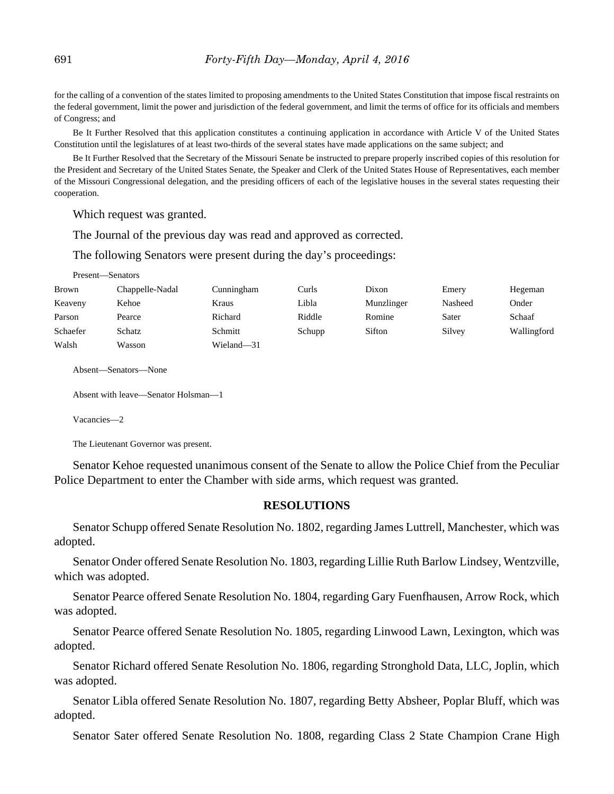for the calling of a convention of the states limited to proposing amendments to the United States Constitution that impose fiscal restraints on the federal government, limit the power and jurisdiction of the federal government, and limit the terms of office for its officials and members of Congress; and

Be It Further Resolved that this application constitutes a continuing application in accordance with Article V of the United States Constitution until the legislatures of at least two-thirds of the several states have made applications on the same subject; and

Be It Further Resolved that the Secretary of the Missouri Senate be instructed to prepare properly inscribed copies of this resolution for the President and Secretary of the United States Senate, the Speaker and Clerk of the United States House of Representatives, each member of the Missouri Congressional delegation, and the presiding officers of each of the legislative houses in the several states requesting their cooperation.

Which request was granted.

The Journal of the previous day was read and approved as corrected.

The following Senators were present during the day's proceedings:

| Present—Senators |                 |            |        |            |         |             |
|------------------|-----------------|------------|--------|------------|---------|-------------|
| Brown            | Chappelle-Nadal | Cunningham | Curls  | Dixon      | Emery   | Hegeman     |
| Keaveny          | Kehoe           | Kraus      | Libla  | Munzlinger | Nasheed | Onder       |
| Parson           | Pearce          | Richard    | Riddle | Romine     | Sater   | Schaaf      |
| Schaefer         | Schatz          | Schmitt    | Schupp | Sifton     | Silvey  | Wallingford |
| Walsh            | Wasson          | Wieland-31 |        |            |         |             |

Absent—Senators—None

```
Absent with leave—Senator Holsman—1
```
Vacancies—2

The Lieutenant Governor was present.

Senator Kehoe requested unanimous consent of the Senate to allow the Police Chief from the Peculiar Police Department to enter the Chamber with side arms, which request was granted.

### **RESOLUTIONS**

Senator Schupp offered Senate Resolution No. 1802, regarding James Luttrell, Manchester, which was adopted.

Senator Onder offered Senate Resolution No. 1803, regarding Lillie Ruth Barlow Lindsey, Wentzville, which was adopted.

Senator Pearce offered Senate Resolution No. 1804, regarding Gary Fuenfhausen, Arrow Rock, which was adopted.

Senator Pearce offered Senate Resolution No. 1805, regarding Linwood Lawn, Lexington, which was adopted.

Senator Richard offered Senate Resolution No. 1806, regarding Stronghold Data, LLC, Joplin, which was adopted.

Senator Libla offered Senate Resolution No. 1807, regarding Betty Absheer, Poplar Bluff, which was adopted.

Senator Sater offered Senate Resolution No. 1808, regarding Class 2 State Champion Crane High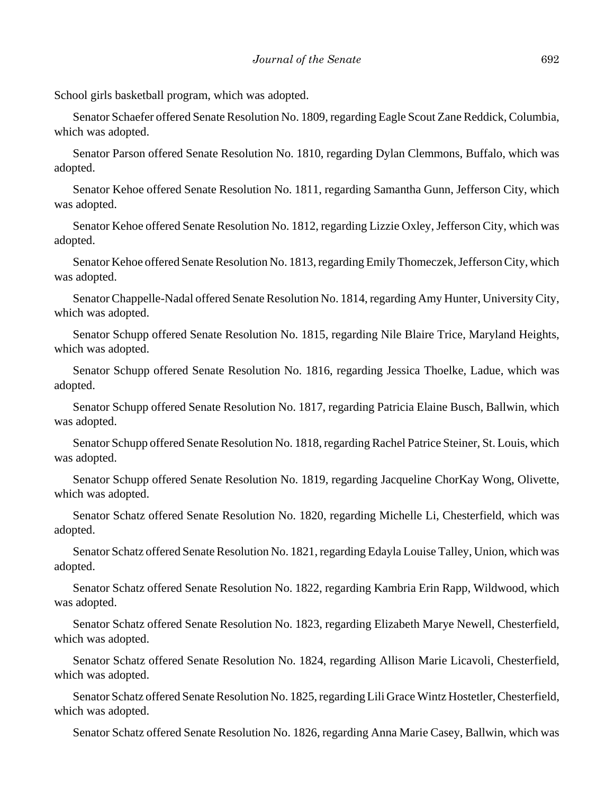School girls basketball program, which was adopted.

Senator Schaefer offered Senate Resolution No. 1809, regarding Eagle Scout Zane Reddick, Columbia, which was adopted.

Senator Parson offered Senate Resolution No. 1810, regarding Dylan Clemmons, Buffalo, which was adopted.

Senator Kehoe offered Senate Resolution No. 1811, regarding Samantha Gunn, Jefferson City, which was adopted.

Senator Kehoe offered Senate Resolution No. 1812, regarding Lizzie Oxley, Jefferson City, which was adopted.

Senator Kehoe offered Senate Resolution No. 1813, regarding Emily Thomeczek, Jefferson City, which was adopted.

Senator Chappelle-Nadal offered Senate Resolution No. 1814, regarding Amy Hunter, University City, which was adopted.

Senator Schupp offered Senate Resolution No. 1815, regarding Nile Blaire Trice, Maryland Heights, which was adopted.

Senator Schupp offered Senate Resolution No. 1816, regarding Jessica Thoelke, Ladue, which was adopted.

Senator Schupp offered Senate Resolution No. 1817, regarding Patricia Elaine Busch, Ballwin, which was adopted.

Senator Schupp offered Senate Resolution No. 1818, regarding Rachel Patrice Steiner, St. Louis, which was adopted.

Senator Schupp offered Senate Resolution No. 1819, regarding Jacqueline ChorKay Wong, Olivette, which was adopted.

Senator Schatz offered Senate Resolution No. 1820, regarding Michelle Li, Chesterfield, which was adopted.

Senator Schatz offered Senate Resolution No. 1821, regarding Edayla Louise Talley, Union, which was adopted.

Senator Schatz offered Senate Resolution No. 1822, regarding Kambria Erin Rapp, Wildwood, which was adopted.

Senator Schatz offered Senate Resolution No. 1823, regarding Elizabeth Marye Newell, Chesterfield, which was adopted.

Senator Schatz offered Senate Resolution No. 1824, regarding Allison Marie Licavoli, Chesterfield, which was adopted.

Senator Schatz offered Senate Resolution No. 1825, regarding Lili Grace Wintz Hostetler, Chesterfield, which was adopted.

Senator Schatz offered Senate Resolution No. 1826, regarding Anna Marie Casey, Ballwin, which was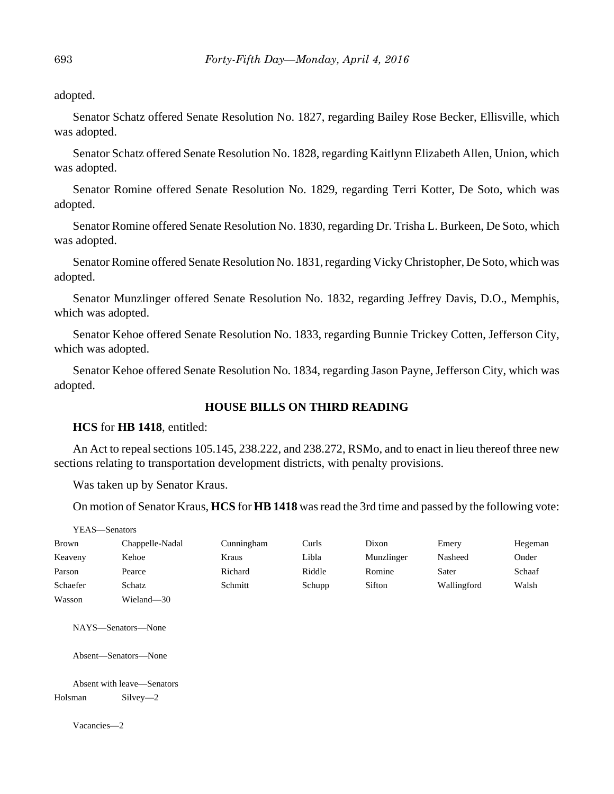adopted.

Senator Schatz offered Senate Resolution No. 1827, regarding Bailey Rose Becker, Ellisville, which was adopted.

Senator Schatz offered Senate Resolution No. 1828, regarding Kaitlynn Elizabeth Allen, Union, which was adopted.

Senator Romine offered Senate Resolution No. 1829, regarding Terri Kotter, De Soto, which was adopted.

Senator Romine offered Senate Resolution No. 1830, regarding Dr. Trisha L. Burkeen, De Soto, which was adopted.

Senator Romine offered Senate Resolution No. 1831, regarding Vicky Christopher, De Soto, which was adopted.

Senator Munzlinger offered Senate Resolution No. 1832, regarding Jeffrey Davis, D.O., Memphis, which was adopted.

Senator Kehoe offered Senate Resolution No. 1833, regarding Bunnie Trickey Cotten, Jefferson City, which was adopted.

Senator Kehoe offered Senate Resolution No. 1834, regarding Jason Payne, Jefferson City, which was adopted.

### **HOUSE BILLS ON THIRD READING**

### **HCS** for **HB 1418**, entitled:

An Act to repeal sections 105.145, 238.222, and 238.272, RSMo, and to enact in lieu thereof three new sections relating to transportation development districts, with penalty provisions.

Was taken up by Senator Kraus.

On motion of Senator Kraus, **HCS** for **HB 1418** was read the 3rd time and passed by the following vote:

| –Senators |
|-----------|
|           |

| <b>Brown</b> | Chappelle-Nadal | Cunningham | Curls  | Dixon      | Emery       | Hegeman |
|--------------|-----------------|------------|--------|------------|-------------|---------|
| Keaveny      | Kehoe           | Kraus      | Libla  | Munzlinger | Nasheed     | Onder   |
| Parson       | Pearce          | Richard    | Riddle | Romine     | Sater       | Schaaf  |
| Schaefer     | Schatz          | Schmitt    | Schupp | Sifton     | Wallingford | Walsh   |
| Wasson       | Wieland-30      |            |        |            |             |         |

NAYS—Senators—None

Absent—Senators—None

Absent with leave—Senators Holsman Silvey—2

Vacancies—2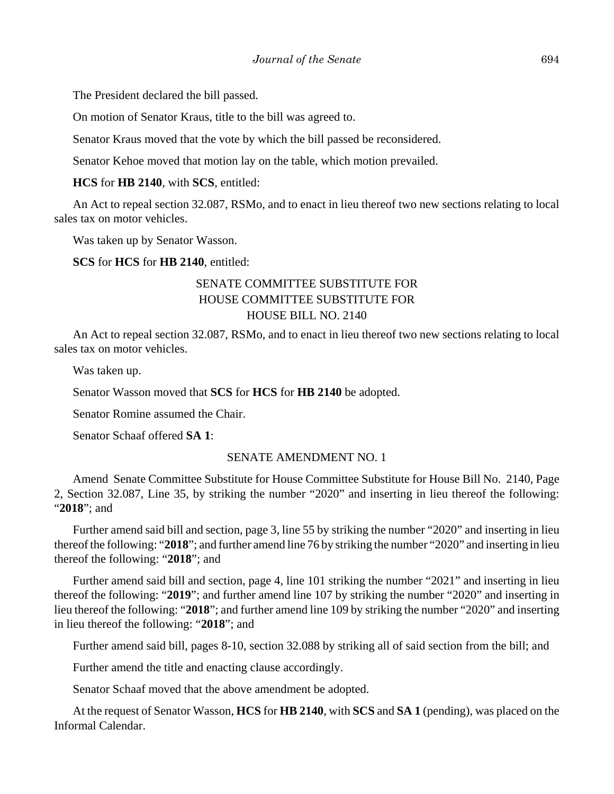The President declared the bill passed.

On motion of Senator Kraus, title to the bill was agreed to.

Senator Kraus moved that the vote by which the bill passed be reconsidered.

Senator Kehoe moved that motion lay on the table, which motion prevailed.

**HCS** for **HB 2140**, with **SCS**, entitled:

An Act to repeal section 32.087, RSMo, and to enact in lieu thereof two new sections relating to local sales tax on motor vehicles.

Was taken up by Senator Wasson.

**SCS** for **HCS** for **HB 2140**, entitled:

# SENATE COMMITTEE SUBSTITUTE FOR HOUSE COMMITTEE SUBSTITUTE FOR HOUSE BILL NO. 2140

An Act to repeal section 32.087, RSMo, and to enact in lieu thereof two new sections relating to local sales tax on motor vehicles.

Was taken up.

Senator Wasson moved that **SCS** for **HCS** for **HB 2140** be adopted.

Senator Romine assumed the Chair.

Senator Schaaf offered **SA 1**:

### SENATE AMENDMENT NO. 1

Amend Senate Committee Substitute for House Committee Substitute for House Bill No. 2140, Page 2, Section 32.087, Line 35, by striking the number "2020" and inserting in lieu thereof the following: "**2018**"; and

Further amend said bill and section, page 3, line 55 by striking the number "2020" and inserting in lieu thereof the following: "**2018**"; and further amend line 76 by striking the number "2020" and inserting in lieu thereof the following: "**2018**"; and

Further amend said bill and section, page 4, line 101 striking the number "2021" and inserting in lieu thereof the following: "**2019**"; and further amend line 107 by striking the number "2020" and inserting in lieu thereof the following: "**2018**"; and further amend line 109 by striking the number "2020" and inserting in lieu thereof the following: "**2018**"; and

Further amend said bill, pages 8-10, section 32.088 by striking all of said section from the bill; and

Further amend the title and enacting clause accordingly.

Senator Schaaf moved that the above amendment be adopted.

At the request of Senator Wasson, **HCS** for **HB 2140**, with **SCS** and **SA 1** (pending), was placed on the Informal Calendar.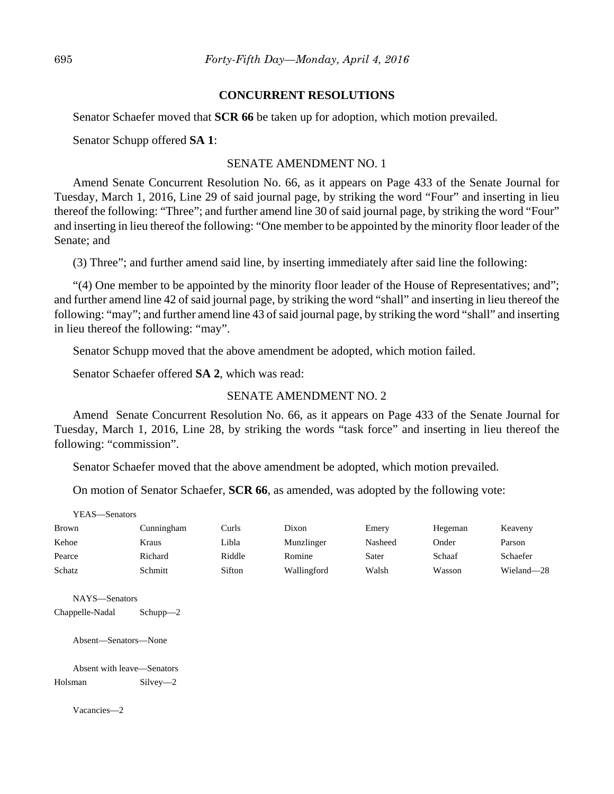### **CONCURRENT RESOLUTIONS**

Senator Schaefer moved that **SCR 66** be taken up for adoption, which motion prevailed.

Senator Schupp offered **SA 1**:

# SENATE AMENDMENT NO. 1

Amend Senate Concurrent Resolution No. 66, as it appears on Page 433 of the Senate Journal for Tuesday, March 1, 2016, Line 29 of said journal page, by striking the word "Four" and inserting in lieu thereof the following: "Three"; and further amend line 30 of said journal page, by striking the word "Four" and inserting in lieu thereof the following: "One member to be appointed by the minority floor leader of the Senate; and

(3) Three"; and further amend said line, by inserting immediately after said line the following:

"(4) One member to be appointed by the minority floor leader of the House of Representatives; and"; and further amend line 42 of said journal page, by striking the word "shall" and inserting in lieu thereof the following: "may"; and further amend line 43 of said journal page, by striking the word "shall" and inserting in lieu thereof the following: "may".

Senator Schupp moved that the above amendment be adopted, which motion failed.

Senator Schaefer offered **SA 2**, which was read:

# SENATE AMENDMENT NO. 2

Amend Senate Concurrent Resolution No. 66, as it appears on Page 433 of the Senate Journal for Tuesday, March 1, 2016, Line 28, by striking the words "task force" and inserting in lieu thereof the following: "commission".

Senator Schaefer moved that the above amendment be adopted, which motion prevailed.

On motion of Senator Schaefer, **SCR 66**, as amended, was adopted by the following vote:

| YEAS—Senators |  |
|---------------|--|
|---------------|--|

| <b>Brown</b> | Cunningham | Curls  | Dixon       | Emery   | Hegeman | Keaveny    |
|--------------|------------|--------|-------------|---------|---------|------------|
| Kehoe        | Kraus      | Libla  | Munzlinger  | Nasheed | Onder   | Parson     |
| Pearce       | Richard    | Riddle | Romine      | Sater   | Schaaf  | Schaefer   |
| Schatz       | Schmitt    | Sifton | Wallingford | Walsh   | Wasson  | Wieland-28 |

NAYS—Senators

Chappelle-Nadal Schupp—2

Absent—Senators—None

Absent with leave—Senators Holsman Silvey—2

Vacancies—2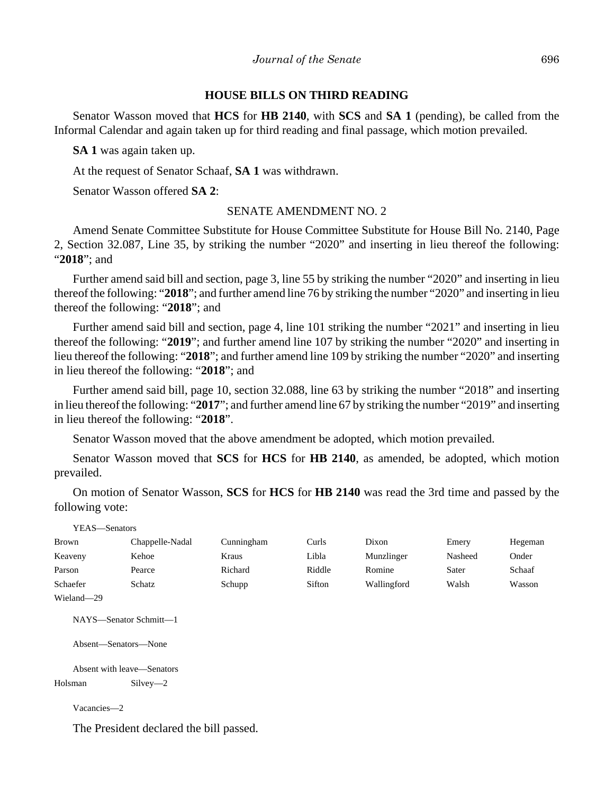# **HOUSE BILLS ON THIRD READING**

Senator Wasson moved that **HCS** for **HB 2140**, with **SCS** and **SA 1** (pending), be called from the Informal Calendar and again taken up for third reading and final passage, which motion prevailed.

**SA 1** was again taken up.

At the request of Senator Schaaf, **SA 1** was withdrawn.

Senator Wasson offered **SA 2**:

# SENATE AMENDMENT NO. 2

Amend Senate Committee Substitute for House Committee Substitute for House Bill No. 2140, Page 2, Section 32.087, Line 35, by striking the number "2020" and inserting in lieu thereof the following: "**2018**"; and

Further amend said bill and section, page 3, line 55 by striking the number "2020" and inserting in lieu thereof the following: "**2018**"; and further amend line 76 by striking the number "2020" and inserting in lieu thereof the following: "**2018**"; and

Further amend said bill and section, page 4, line 101 striking the number "2021" and inserting in lieu thereof the following: "**2019**"; and further amend line 107 by striking the number "2020" and inserting in lieu thereof the following: "**2018**"; and further amend line 109 by striking the number "2020" and inserting in lieu thereof the following: "**2018**"; and

Further amend said bill, page 10, section 32.088, line 63 by striking the number "2018" and inserting in lieu thereof the following: "**2017**"; and further amend line 67 by striking the number "2019" and inserting in lieu thereof the following: "**2018**".

Senator Wasson moved that the above amendment be adopted, which motion prevailed.

Senator Wasson moved that **SCS** for **HCS** for **HB 2140**, as amended, be adopted, which motion prevailed.

On motion of Senator Wasson, **SCS** for **HCS** for **HB 2140** was read the 3rd time and passed by the following vote:

| YEAS—Senators |                            |            |        |             |         |         |
|---------------|----------------------------|------------|--------|-------------|---------|---------|
| <b>Brown</b>  | Chappelle-Nadal            | Cunningham | Curls  | Dixon       | Emery   | Hegeman |
| Keaveny       | Kehoe                      | Kraus      | Libla  | Munzlinger  | Nasheed | Onder   |
| Parson        | Pearce                     | Richard    | Riddle | Romine      | Sater   | Schaaf  |
| Schaefer      | Schatz                     | Schupp     | Sifton | Wallingford | Walsh   | Wasson  |
| Wieland-29    |                            |            |        |             |         |         |
|               | NAYS—Senator Schmitt—1     |            |        |             |         |         |
|               | Absent-Senators-None       |            |        |             |         |         |
|               | Absent with leave—Senators |            |        |             |         |         |
| $H = 1$       | C:1                        |            |        |             |         |         |

Holsman Silvey—2

Vacancies—2

The President declared the bill passed.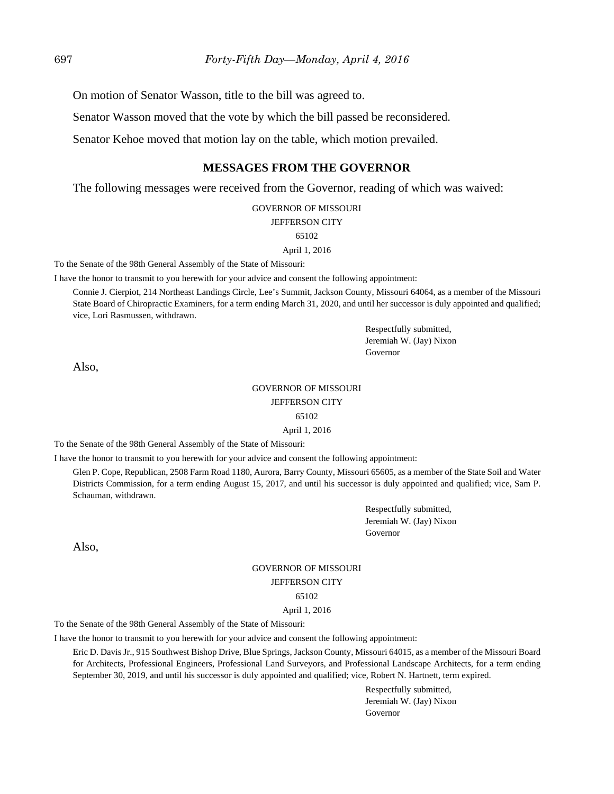On motion of Senator Wasson, title to the bill was agreed to.

Senator Wasson moved that the vote by which the bill passed be reconsidered.

Senator Kehoe moved that motion lay on the table, which motion prevailed.

# **MESSAGES FROM THE GOVERNOR**

The following messages were received from the Governor, reading of which was waived:

GOVERNOR OF MISSOURI

#### JEFFERSON CITY

65102

April 1, 2016

To the Senate of the 98th General Assembly of the State of Missouri:

I have the honor to transmit to you herewith for your advice and consent the following appointment:

Connie J. Cierpiot, 214 Northeast Landings Circle, Lee's Summit, Jackson County, Missouri 64064, as a member of the Missouri State Board of Chiropractic Examiners, for a term ending March 31, 2020, and until her successor is duly appointed and qualified; vice, Lori Rasmussen, withdrawn.

> Respectfully submitted, Jeremiah W. (Jay) Nixon Governor

Also,

# GOVERNOR OF MISSOURI JEFFERSON CITY 65102

April 1, 2016

To the Senate of the 98th General Assembly of the State of Missouri:

I have the honor to transmit to you herewith for your advice and consent the following appointment:

Glen P. Cope, Republican, 2508 Farm Road 1180, Aurora, Barry County, Missouri 65605, as a member of the State Soil and Water Districts Commission, for a term ending August 15, 2017, and until his successor is duly appointed and qualified; vice, Sam P. Schauman, withdrawn.

> Respectfully submitted, Jeremiah W. (Jay) Nixon Governor

Also,

# GOVERNOR OF MISSOURI JEFFERSON CITY 65102

April 1, 2016

To the Senate of the 98th General Assembly of the State of Missouri:

I have the honor to transmit to you herewith for your advice and consent the following appointment:

Eric D. Davis Jr., 915 Southwest Bishop Drive, Blue Springs, Jackson County, Missouri 64015, as a member of the Missouri Board for Architects, Professional Engineers, Professional Land Surveyors, and Professional Landscape Architects, for a term ending September 30, 2019, and until his successor is duly appointed and qualified; vice, Robert N. Hartnett, term expired.

> Respectfully submitted, Jeremiah W. (Jay) Nixon Governor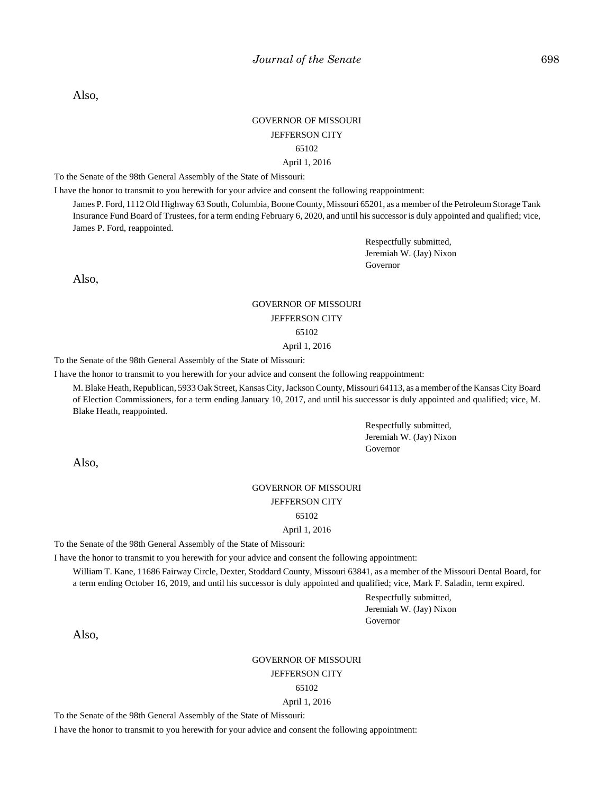Also,

### GOVERNOR OF MISSOURI JEFFERSON CITY 65102

#### April 1, 2016

To the Senate of the 98th General Assembly of the State of Missouri:

I have the honor to transmit to you herewith for your advice and consent the following reappointment:

James P. Ford, 1112 Old Highway 63 South, Columbia, Boone County, Missouri 65201, as a member of the Petroleum Storage Tank Insurance Fund Board of Trustees, for a term ending February 6, 2020, and until his successor is duly appointed and qualified; vice, James P. Ford, reappointed.

> Respectfully submitted, Jeremiah W. (Jay) Nixon Governor

Also,

# GOVERNOR OF MISSOURI JEFFERSON CITY 65102

April 1, 2016

To the Senate of the 98th General Assembly of the State of Missouri:

I have the honor to transmit to you herewith for your advice and consent the following reappointment:

M. Blake Heath, Republican, 5933 Oak Street, Kansas City, Jackson County, Missouri 64113, as a member of the Kansas City Board of Election Commissioners, for a term ending January 10, 2017, and until his successor is duly appointed and qualified; vice, M. Blake Heath, reappointed.

> Respectfully submitted, Jeremiah W. (Jay) Nixon Governor

Also,

### GOVERNOR OF MISSOURI JEFFERSON CITY

65102

April 1, 2016

To the Senate of the 98th General Assembly of the State of Missouri:

I have the honor to transmit to you herewith for your advice and consent the following appointment:

William T. Kane, 11686 Fairway Circle, Dexter, Stoddard County, Missouri 63841, as a member of the Missouri Dental Board, for a term ending October 16, 2019, and until his successor is duly appointed and qualified; vice, Mark F. Saladin, term expired.

> Respectfully submitted, Jeremiah W. (Jay) Nixon Governor

Also,

GOVERNOR OF MISSOURI JEFFERSON CITY

65102

April 1, 2016

To the Senate of the 98th General Assembly of the State of Missouri:

I have the honor to transmit to you herewith for your advice and consent the following appointment: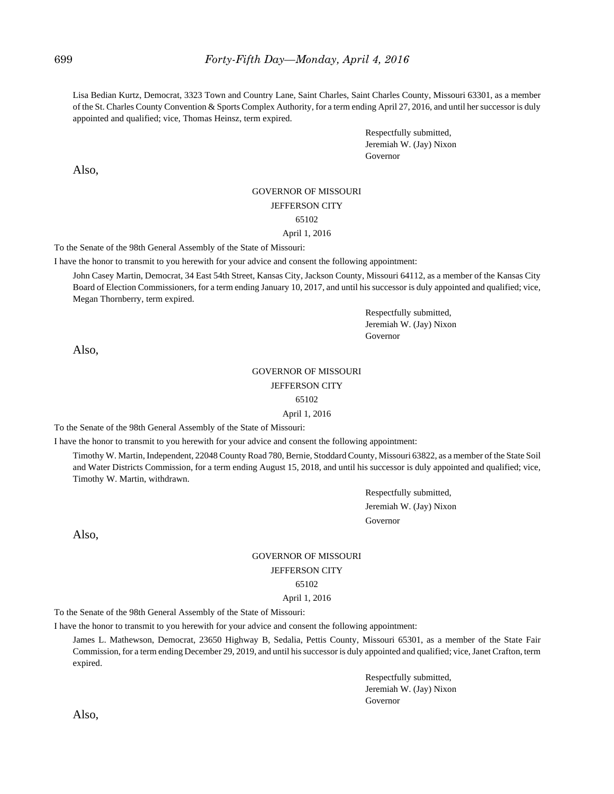Lisa Bedian Kurtz, Democrat, 3323 Town and Country Lane, Saint Charles, Saint Charles County, Missouri 63301, as a member of the St. Charles County Convention & Sports Complex Authority, for a term ending April 27, 2016, and until her successor is duly appointed and qualified; vice, Thomas Heinsz, term expired.

> Respectfully submitted, Jeremiah W. (Jay) Nixon Governor

Also,

#### GOVERNOR OF MISSOURI

#### JEFFERSON CITY

#### 65102

#### April 1, 2016

To the Senate of the 98th General Assembly of the State of Missouri:

I have the honor to transmit to you herewith for your advice and consent the following appointment:

John Casey Martin, Democrat, 34 East 54th Street, Kansas City, Jackson County, Missouri 64112, as a member of the Kansas City Board of Election Commissioners, for a term ending January 10, 2017, and until his successor is duly appointed and qualified; vice, Megan Thornberry, term expired.

> Respectfully submitted, Jeremiah W. (Jay) Nixon Governor

Also,

### GOVERNOR OF MISSOURI JEFFERSON CITY

#### 65102

April 1, 2016

To the Senate of the 98th General Assembly of the State of Missouri:

I have the honor to transmit to you herewith for your advice and consent the following appointment:

Timothy W. Martin, Independent, 22048 County Road 780, Bernie, Stoddard County, Missouri 63822, as a member of the State Soil and Water Districts Commission, for a term ending August 15, 2018, and until his successor is duly appointed and qualified; vice, Timothy W. Martin, withdrawn.

> Respectfully submitted, Jeremiah W. (Jay) Nixon Governor

Also,

# GOVERNOR OF MISSOURI JEFFERSON CITY

65102

April 1, 2016

To the Senate of the 98th General Assembly of the State of Missouri:

I have the honor to transmit to you herewith for your advice and consent the following appointment:

James L. Mathewson, Democrat, 23650 Highway B, Sedalia, Pettis County, Missouri 65301, as a member of the State Fair Commission, for a term ending December 29, 2019, and until his successor is duly appointed and qualified; vice, Janet Crafton, term expired.

> Respectfully submitted, Jeremiah W. (Jay) Nixon Governor

Also,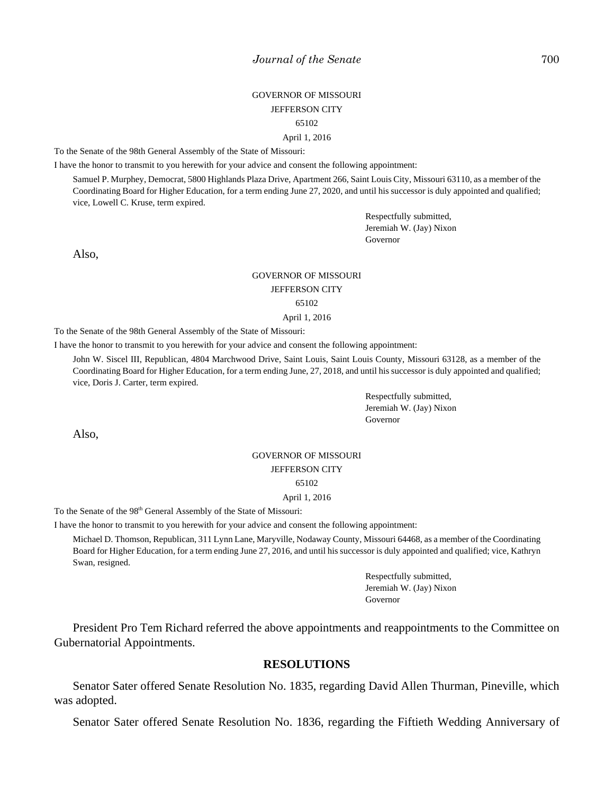# GOVERNOR OF MISSOURI JEFFERSON CITY 65102

#### April 1, 2016

To the Senate of the 98th General Assembly of the State of Missouri:

I have the honor to transmit to you herewith for your advice and consent the following appointment:

Samuel P. Murphey, Democrat, 5800 Highlands Plaza Drive, Apartment 266, Saint Louis City, Missouri 63110, as a member of the Coordinating Board for Higher Education, for a term ending June 27, 2020, and until his successor is duly appointed and qualified; vice, Lowell C. Kruse, term expired.

> Respectfully submitted, Jeremiah W. (Jay) Nixon Governor

Also,

#### GOVERNOR OF MISSOURI

#### JEFFERSON CITY

### 65102

#### April 1, 2016

To the Senate of the 98th General Assembly of the State of Missouri:

I have the honor to transmit to you herewith for your advice and consent the following appointment:

John W. Siscel III, Republican, 4804 Marchwood Drive, Saint Louis, Saint Louis County, Missouri 63128, as a member of the Coordinating Board for Higher Education, for a term ending June, 27, 2018, and until his successor is duly appointed and qualified; vice, Doris J. Carter, term expired.

> Respectfully submitted, Jeremiah W. (Jay) Nixon Governor

Also,

# GOVERNOR OF MISSOURI

### JEFFERSON CITY

#### 65102

April 1, 2016

To the Senate of the 98<sup>th</sup> General Assembly of the State of Missouri:

I have the honor to transmit to you herewith for your advice and consent the following appointment:

Michael D. Thomson, Republican, 311 Lynn Lane, Maryville, Nodaway County, Missouri 64468, as a member of the Coordinating Board for Higher Education, for a term ending June 27, 2016, and until his successor is duly appointed and qualified; vice, Kathryn Swan, resigned.

> Respectfully submitted, Jeremiah W. (Jay) Nixon Governor

President Pro Tem Richard referred the above appointments and reappointments to the Committee on Gubernatorial Appointments.

### **RESOLUTIONS**

Senator Sater offered Senate Resolution No. 1835, regarding David Allen Thurman, Pineville, which was adopted.

Senator Sater offered Senate Resolution No. 1836, regarding the Fiftieth Wedding Anniversary of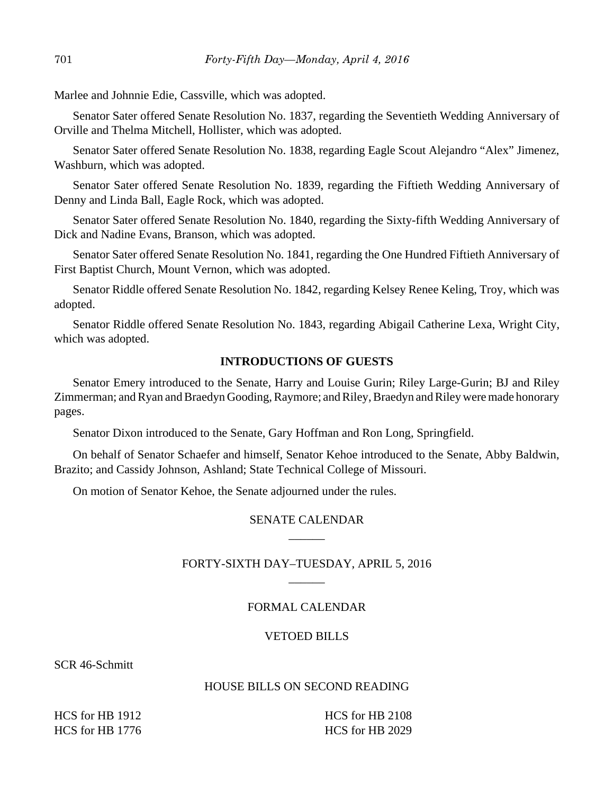Marlee and Johnnie Edie, Cassville, which was adopted.

Senator Sater offered Senate Resolution No. 1837, regarding the Seventieth Wedding Anniversary of Orville and Thelma Mitchell, Hollister, which was adopted.

Senator Sater offered Senate Resolution No. 1838, regarding Eagle Scout Alejandro "Alex" Jimenez, Washburn, which was adopted.

Senator Sater offered Senate Resolution No. 1839, regarding the Fiftieth Wedding Anniversary of Denny and Linda Ball, Eagle Rock, which was adopted.

Senator Sater offered Senate Resolution No. 1840, regarding the Sixty-fifth Wedding Anniversary of Dick and Nadine Evans, Branson, which was adopted.

Senator Sater offered Senate Resolution No. 1841, regarding the One Hundred Fiftieth Anniversary of First Baptist Church, Mount Vernon, which was adopted.

Senator Riddle offered Senate Resolution No. 1842, regarding Kelsey Renee Keling, Troy, which was adopted.

Senator Riddle offered Senate Resolution No. 1843, regarding Abigail Catherine Lexa, Wright City, which was adopted.

# **INTRODUCTIONS OF GUESTS**

Senator Emery introduced to the Senate, Harry and Louise Gurin; Riley Large-Gurin; BJ and Riley Zimmerman; and Ryan and Braedyn Gooding, Raymore; and Riley, Braedyn and Riley were made honorary pages.

Senator Dixon introduced to the Senate, Gary Hoffman and Ron Long, Springfield.

On behalf of Senator Schaefer and himself, Senator Kehoe introduced to the Senate, Abby Baldwin, Brazito; and Cassidy Johnson, Ashland; State Technical College of Missouri.

On motion of Senator Kehoe, the Senate adjourned under the rules.

# SENATE CALENDAR  $\overline{\phantom{a}}$

# FORTY-SIXTH DAY–TUESDAY, APRIL 5, 2016  $\overline{\phantom{a}}$

### FORMAL CALENDAR

### VETOED BILLS

SCR 46-Schmitt

### HOUSE BILLS ON SECOND READING

HCS for HB 1912 HCS for HB 1776 HCS for HB 2108 HCS for HB 2029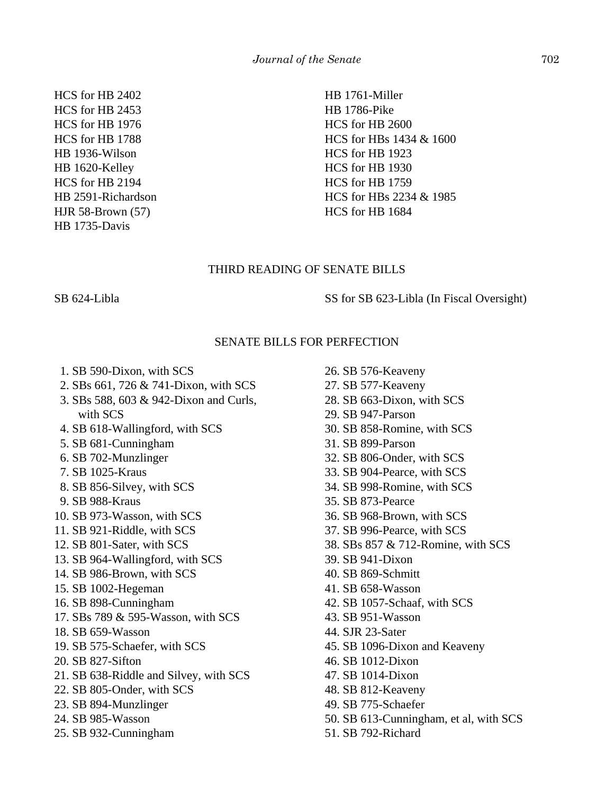HCS for HB 2402 HCS for HB 2453 HCS for HB 1976 HCS for HB 1788 HB 1936-Wilson HB 1620-Kelley HCS for HB 2194 HB 2591-Richardson HJR 58-Brown (57) HB 1735-Davis

HB 1761-Miller HB 1786-Pike HCS for HB 2600 HCS for HBs 1434 & 1600 HCS for HB 1923 HCS for HB 1930 HCS for HB 1759 HCS for HBs 2234 & 1985 HCS for HB 1684

# THIRD READING OF SENATE BILLS

SB 624-Libla SS for SB 623-Libla (In Fiscal Oversight)

# SENATE BILLS FOR PERFECTION

- 1. SB 590-Dixon, with SCS
- 2. SBs 661, 726 & 741-Dixon, with SCS
- 3. SBs 588, 603 & 942-Dixon and Curls, with SCS
- 4. SB 618-Wallingford, with SCS
- 5. SB 681-Cunningham
- 6. SB 702-Munzlinger
- 7. SB 1025-Kraus
- 8. SB 856-Silvey, with SCS
- 9. SB 988-Kraus
- 10. SB 973-Wasson, with SCS
- 11. SB 921-Riddle, with SCS
- 12. SB 801-Sater, with SCS
- 13. SB 964-Wallingford, with SCS
- 14. SB 986-Brown, with SCS
- 15. SB 1002-Hegeman
- 16. SB 898-Cunningham
- 17. SBs 789 & 595-Wasson, with SCS
- 18. SB 659-Wasson
- 19. SB 575-Schaefer, with SCS
- 20. SB 827-Sifton
- 21. SB 638-Riddle and Silvey, with SCS
- 22. SB 805-Onder, with SCS
- 23. SB 894-Munzlinger
- 24. SB 985-Wasson
- 25. SB 932-Cunningham

26. SB 576-Keaveny 27. SB 577-Keaveny 28. SB 663-Dixon, with SCS 29. SB 947-Parson 30. SB 858-Romine, with SCS 31. SB 899-Parson 32. SB 806-Onder, with SCS 33. SB 904-Pearce, with SCS 34. SB 998-Romine, with SCS 35. SB 873-Pearce 36. SB 968-Brown, with SCS 37. SB 996-Pearce, with SCS 38. SBs 857 & 712-Romine, with SCS 39. SB 941-Dixon 40. SB 869-Schmitt 41. SB 658-Wasson 42. SB 1057-Schaaf, with SCS 43. SB 951-Wasson 44. SJR 23-Sater 45. SB 1096-Dixon and Keaveny 46. SB 1012-Dixon 47. SB 1014-Dixon 48. SB 812-Keaveny 49. SB 775-Schaefer 50. SB 613-Cunningham, et al, with SCS 51. SB 792-Richard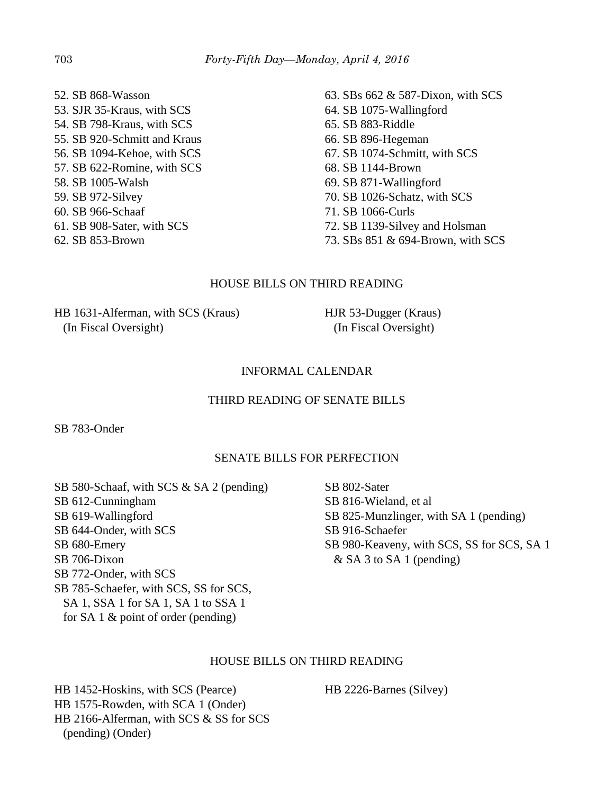52. SB 868-Wasson 53. SJR 35-Kraus, with SCS 54. SB 798-Kraus, with SCS 55. SB 920-Schmitt and Kraus 56. SB 1094-Kehoe, with SCS 57. SB 622-Romine, with SCS 58. SB 1005-Walsh 59. SB 972-Silvey 60. SB 966-Schaaf 61. SB 908-Sater, with SCS 62. SB 853-Brown

63. SBs 662 & 587-Dixon, with SCS 64. SB 1075-Wallingford 65. SB 883-Riddle 66. SB 896-Hegeman 67. SB 1074-Schmitt, with SCS 68. SB 1144-Brown 69. SB 871-Wallingford 70. SB 1026-Schatz, with SCS 71. SB 1066-Curls 72. SB 1139-Silvey and Holsman

73. SBs 851 & 694-Brown, with SCS

# HOUSE BILLS ON THIRD READING

HB 1631-Alferman, with SCS (Kraus) (In Fiscal Oversight)

HJR 53-Dugger (Kraus) (In Fiscal Oversight)

### INFORMAL CALENDAR

# THIRD READING OF SENATE BILLS

SB 783-Onder

### SENATE BILLS FOR PERFECTION

SB 580-Schaaf, with SCS & SA 2 (pending) SB 612-Cunningham SB 619-Wallingford SB 644-Onder, with SCS SB 680-Emery SB 706-Dixon SB 772-Onder, with SCS SB 785-Schaefer, with SCS, SS for SCS, SA 1, SSA 1 for SA 1, SA 1 to SSA 1 for SA 1 & point of order (pending)

SB 802-Sater SB 816-Wieland, et al SB 825-Munzlinger, with SA 1 (pending) SB 916-Schaefer SB 980-Keaveny, with SCS, SS for SCS, SA 1 & SA 3 to SA 1 (pending)

# HOUSE BILLS ON THIRD READING

HB 1452-Hoskins, with SCS (Pearce) HB 1575-Rowden, with SCA 1 (Onder) HB 2166-Alferman, with SCS & SS for SCS (pending) (Onder)

HB 2226-Barnes (Silvey)